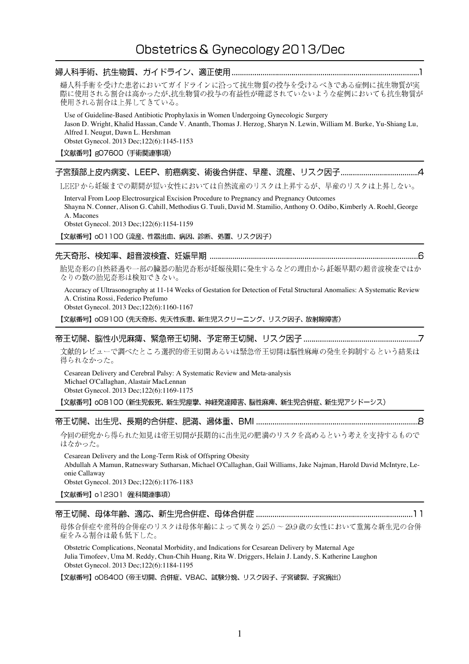| 婦人科手術を受けた患者においてガイドラインに沿って抗生物質の投与を受けるべきである症例に抗生物質が実<br>際に使用される割合は高かったが、抗生物質の投与の有益性が確認されていないような症例においても抗生物質が<br>使用される割合は上昇してきている。                                                                                                                                                                    |
|---------------------------------------------------------------------------------------------------------------------------------------------------------------------------------------------------------------------------------------------------------------------------------------------------|
| Use of Guideline-Based Antibiotic Prophylaxis in Women Undergoing Gynecologic Surgery<br>Jason D. Wright, Khalid Hassan, Cande V. Ananth, Thomas J. Herzog, Sharyn N. Lewin, William M. Burke, Yu-Shiang Lu,<br>Alfred I. Neugut, Dawn L. Hershman<br>Obstet Gynecol. 2013 Dec; 122(6): 1145-1153 |
| 【文献番号】gO7600(手術関連事項)                                                                                                                                                                                                                                                                              |
|                                                                                                                                                                                                                                                                                                   |
| LEEPから妊娠までの期間が短い女性においては自然流産のリスクは上昇するが、早産のリスクは上昇しない。                                                                                                                                                                                                                                               |
| Interval From Loop Electrosurgical Excision Procedure to Pregnancy and Pregnancy Outcomes<br>Shayna N. Conner, Alison G. Cahill, Methodius G. Tuuli, David M. Stamilio, Anthony O. Odibo, Kimberly A. Roehl, George<br>A. Macones<br>Obstet Gynecol. 2013 Dec; 122(6):1154-1159                   |
| 【文献番号】oO1100 (流産、性器出血、病因、診断、処置、リスク因子)                                                                                                                                                                                                                                                             |
|                                                                                                                                                                                                                                                                                                   |
| 胎児奇形の自然経過や一部の臓器の胎児奇形が妊娠後期に発生するなどの理由から妊娠早期の超音波検査ではか<br>なりの数の胎児奇形は検知できない。                                                                                                                                                                                                                           |
| Accuracy of Ultrasonography at 11-14 Weeks of Gestation for Detection of Fetal Structural Anomalies: A Systematic Review<br>A. Cristina Rossi, Federico Prefumo<br>Obstet Gynecol. 2013 Dec;122(6):1160-1167                                                                                      |
| 【文献番号】oO9100 (先天奇形、先天性疾患、新生児スクリーニング、リスク因子、放射線障害)                                                                                                                                                                                                                                                  |
|                                                                                                                                                                                                                                                                                                   |
| 文献的レビューで調べたところ選択的帝王切開あるいは緊急帝王切開は脳性麻痺の発生を抑制するという結果は<br>得られなかった。                                                                                                                                                                                                                                    |
| Cesarean Delivery and Cerebral Palsy: A Systematic Review and Meta-analysis<br>Michael O'Callaghan, Alastair MacLennan<br>Obstet Gynecol. 2013 Dec;122(6):1169-1175                                                                                                                               |
| 【文献番号】oO8100 (新生児仮死、新生児痙攣、神経発達障害、脳性麻痺、新生児合併症、新生児アシドーシス)                                                                                                                                                                                                                                           |
|                                                                                                                                                                                                                                                                                                   |
| 今回の研究から得られた知見は帝王切開が長期的に出生児の肥満のリスクを高めるという考えを支持するもので<br>はなかった。                                                                                                                                                                                                                                      |
| Cesarean Delivery and the Long-Term Risk of Offspring Obesity<br>Abdullah A Mamun, Ratneswary Sutharsan, Michael O'Callaghan, Gail Williams, Jake Najman, Harold David McIntyre, Le-<br>onie Callaway<br>Obstet Gynecol. 2013 Dec;122(6):1176-1183                                                |
| 【文献番号】 o12301 催科関連事項)                                                                                                                                                                                                                                                                             |
|                                                                                                                                                                                                                                                                                                   |
| 母体合併症や産科的合併症のリスクは母体年齢によって異なり25.0~29.9歳の女性において重篤な新生児の合併<br>症をみる割合は最も低下した。                                                                                                                                                                                                                          |
| Obstetric Complications, Neonatal Morbidity, and Indications for Cesarean Delivery by Maternal Age<br>Julie Timefeau Hme M, Daddy Chun Chib Huang, Dite W, Driggers, Helein J, Landy C, Katharina Laughe                                                                                          |

Julia Timofeev, Uma M. Reddy, Chun-Chih Huang, Rita W. Driggers, Helain J. Landy, S. Katherine Laughon Obstet Gynecol. 2013 Dec;122(6):1184-1195

【文献番号】 oO6400 (帝王切開、合併症、VBAC、試験分娩、リスク因子、子宮破裂、子宮摘出)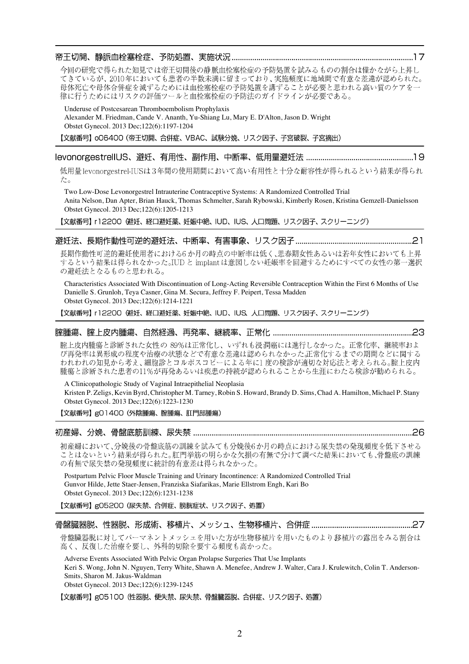## 帝王切開、静脈血栓塞栓症、予防処置、実施状況 ………………………………………………………………………………………17 今回の研究で得られた知見では帝王切開後の静脈血栓塞栓症の予防処置を試みるものの割合は僅かながら上昇し てきているが、2010年においても患者の半数未満に留まっており、実施頻度に地域間で有意な差違が認められた。 母体死亡や母体合併症を減ずるためには血栓塞栓症の予防処置を講ずることが必要と思われる高い質のケアを一 律に行うためにはリスクの評価ツールと血栓塞栓症の予防法のガイドラインが必要である。

Underuse of Postcesarean Thromboembolism Prophylaxis Alexander M. Friedman, Cande V. Ananth, Yu-Shiang Lu, Mary E. D'Alton, Jason D. Wright Obstet Gynecol. 2013 Dec;122(6):1197-1204

【文献番号】o06400 (帝王切開、合併症、VBAC、試験分娩、リスク因子、子宮破裂、子宮摘出)

低用量 levonorgestrel-IUSは3年間の使用期間において高い有用性と十分な耐容性が得られるという結果が得られ た。

Two Low-Dose Levonorgestrel Intrauterine Contraceptive Systems: A Randomized Controlled Trial Anita Nelson, Dan Apter, Brian Hauck, Thomas Schmelter, Sarah Rybowski, Kimberly Rosen, Kristina Gemzell-Danielsson Obstet Gynecol. 2013 Dec;122(6):1205-1213

【文献番号】 r12200 (避妊、経口避妊薬、妊娠中絶、IUD、IUS、人口問題、リスク因子、スクリーニング)

## 

長期作動性可逆的避妊使用者における6か月の時点の中断率は低く、思春期女性あるいは若年女性においても上昇 するという結果は得られなかった。IUDと implantは意図しない妊娠率を回避するためにすべての女性の第一選択 の避妊法となるものと思われる。

Characteristics Associated With Discontinuation of Long-Acting Reversible Contraception Within the First 6 Months of Use Danielle S. Grunloh, Teya Casner, Gina M. Secura, Jeffrey F. Peipert, Tessa Madden Obstet Gynecol. 2013 Dec;122(6):1214-1221

【文献番号】 r12200 (避妊、経口避妊薬、妊娠中絶、IUD、IUS、人口問題、リスク因子、スクリーニング)

## 

腟上皮内腫瘍と診断された女性の 89%は正常化し、いずれも浸潤癌には進行しなかった。正常化率、継続率およ われわれの知見から考え、細胞診とコルポスコピーによる年に1度の検診が適切な対応法と考えられる。腟上皮内 腫瘍と診断された患者の11%が再発あるいは疾患の持続が認められることから生涯にわたる検診が勧められる。

A Clinicopathologic Study of Vaginal Intraepithelial Neoplasia Kristen P. Zeligs, Kevin Byrd, Christopher M. Tarney, Robin S. Howard, Brandy D. Sims, Chad A. Hamilton, Michael P. Stany Obstet Gynecol. 2013 Dec;122(6):1223-1230

【文献番号】g01400 (外陰腫瘍、腟腫瘍、肛門部腫瘍)

初産婦において、分娩後の骨盤底筋の訓練を試みても分娩後6か月の時点における尿失禁の発現頻度を低下させる ことはないという結果が得られた。肛門挙筋の明らかな欠損の有無で分けて調べた結果においても、骨盤底の訓練 の有無で尿失禁の発現頻度に統計的有意差は得られなかった。

Postpartum Pelvic Floor Muscle Training and Urinary Incontinence: A Randomized Controlled Trial Gunvor Hilde, Jette Staer-Jensen, Franziska Siafarikas, Marie Ellstrom Engh, Kari Bo Obstet Gynecol. 2013 Dec;122(6):1231-1238

【文献番号】g05200 (尿失禁、合併症、膀胱症状、リスク因子、処置)

## 

骨盤臓器脱に対してパーマネントメッシュを用いた方が生物移植片を用いたものより移植片の露出をみる割合は 高く、反復した治療を要し、外科的切除を要する頻度も高かった。

Adverse Events Associated With Pelvic Organ Prolapse Surgeries That Use Implants

Keri S. Wong, John N. Nguyen, Terry White, Shawn A. Menefee, Andrew J. Walter, Cara J. Krulewitch, Colin T. Anderson-Smits, Sharon M. Jakus-Waldman

Obstet Gynecol. 2013 Dec;122(6):1239-1245

【文献番号】g05100 (性器脱、便失禁、尿失禁、骨盤臓器脱、合併症、リスク因子、処置)